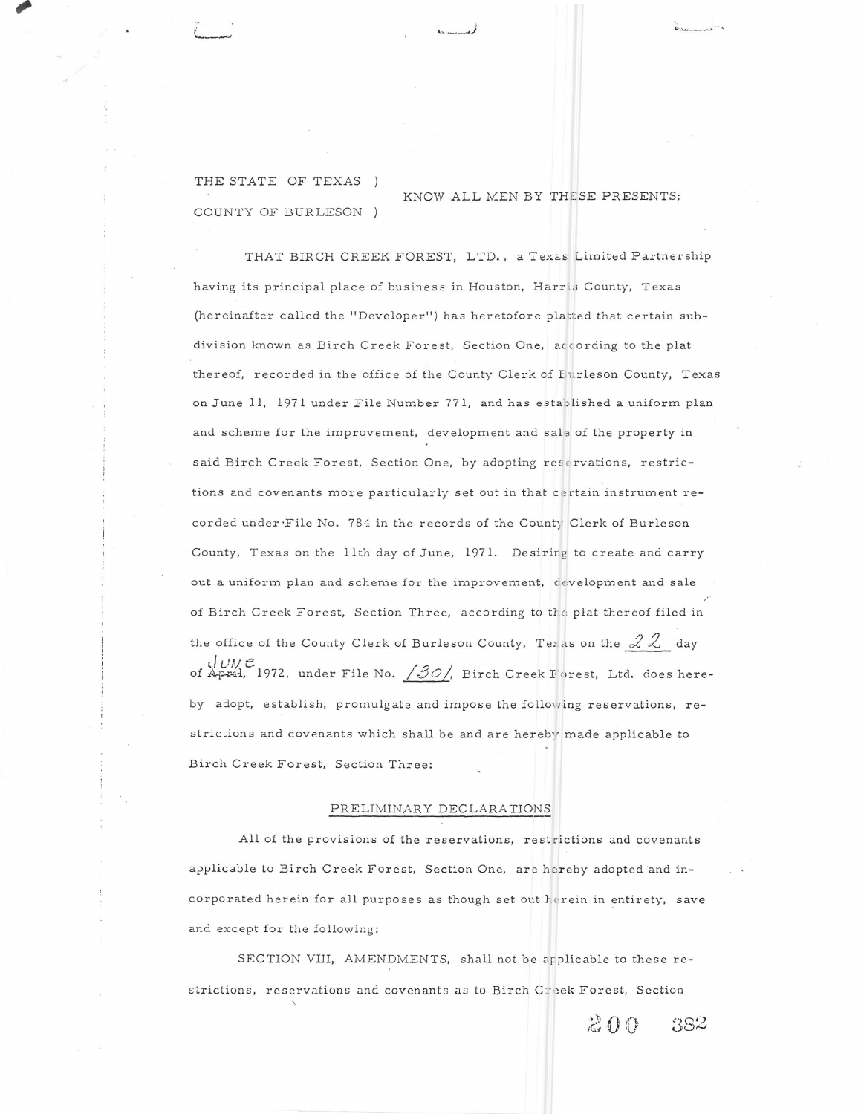THE STATE OF TEXAS COUNTY OF BURLESON )

KNOW ALL MEN BY THESE PRESENTS:

THAT BIRCH CREEK FOREST, LTD., a Texas Limited Partnership having its principal place of business in Houston, Harris County, Texas (hereinafter called the "Developer") has heretofore platted that certain subdivision known as Birch Creek Forest, Section One, according to the plat thereof, recorded in the office of the County Clerk of Furleson County, Texas on June 11, 1971 under File Number 771, and has established a uniform plan and scheme for the improvement, development and sale of the property in said Birch Creek Forest, Section One, by adopting reservations, restrictions and covenants more particularly set out in that certain instrument recorded under File No. 784 in the records of the County Clerk of Burleson County, Texas on the 11th day of June, 1971. Desiring to create and carry out a uniform plan and scheme for the improvement, development and sale of Birch Creek Forest, Section Three, according to the plat thereof filed in the office of the County Clerk of Burleson County, Texas on the  $22$  day  $JUNC$ <br>of April, 1972, under File No.  $/30/$ , Birch Creek Forest, Ltd. does hereby adopt, establish, promulgate and impose the following reservations, restrictions and covenants which shall be and are hereby made applicable to Birch Creek Forest, Section Three:

## PRELIMINARY DECLARATIONS

All of the provisions of the reservations, restrictions and covenants applicable to Birch Creek Forest, Section One, are hereby adopted and incorporated herein for all purposes as though set out herein in entirety, save and except for the following:

SECTION VIII, AMENDMENTS, shall not be applicable to these restrictions, reservations and covenants as to Birch Creek Forest, Section

 $200$ 382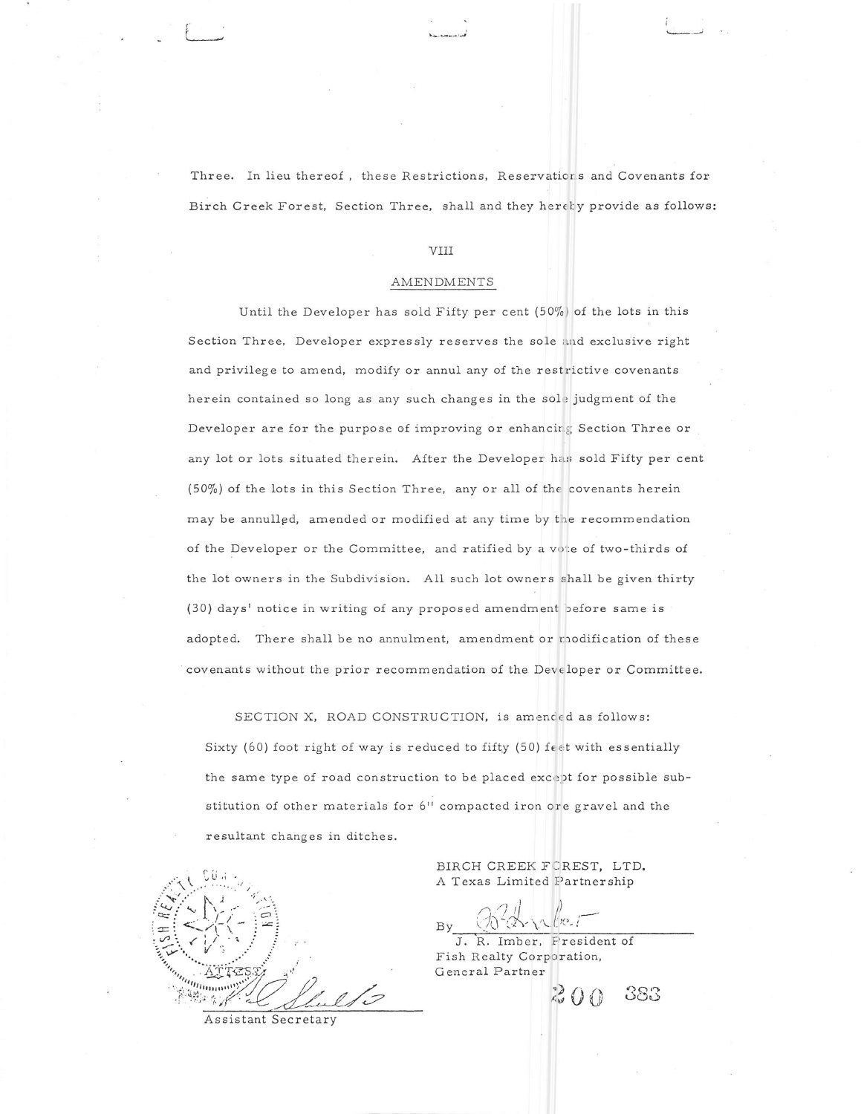Three. In lieu thereof, these Restrictions, Reservations and Covenants for Birch Creek Forest, Section Three, shall and they herety provide as follows:

# vIIr

#### AMENDMENTS

Until the Developer has sold Fifty per cent  $(50\%)$  of the lots in this Section Three, Developer expressly reserves the sole and exclusive right and privilege to amend, modify or annul any of the restrictive covenants herein contained so long as any such changes in the sole judgment of the Developer are for the purpose of improving or enhancing Section Three or any lot or lots situated therein. After the Developer has sold Fifty per cent (50%) of the lots in this Section Three, any or all of the covenants herein may be annu1lpd, amended or modified at any time by the recommendation of the Developer or the Committee, and ratified by a vote of two-thirds of the lot owners in the Subdivision. All such lot owners shall be given thirty (30) days' notice in writing of any proposed amendment before same is adopted. There shall be no annulment, amendment or modification of these covenants without the prior recommendation of the Deve loper or Committee.

SECTION X, ROAD CONSTRUCTION, is amended as follows:

Sixty (60) foot right of way is reduced to fifty (50) feet with essentially the same type of road construction to be placed except for possible substitution of other materials for 6" compacted iron ore gravel and the resultant changes in ditches.

Assistant Secretary

BIRCH CREEK FOREST, LTD. A Texas Limited Partnership

J. R. Imber, Fresident of Fish Realty Corporation, G eneral Partne::

 $383$